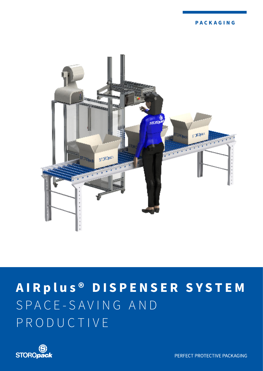

# **AIR plus ® DISPENSER SYSTEM** S P A C E - S A V I N G A N D P R O D U C T I V E



PERFECT PROTECTIVE PACKAGING